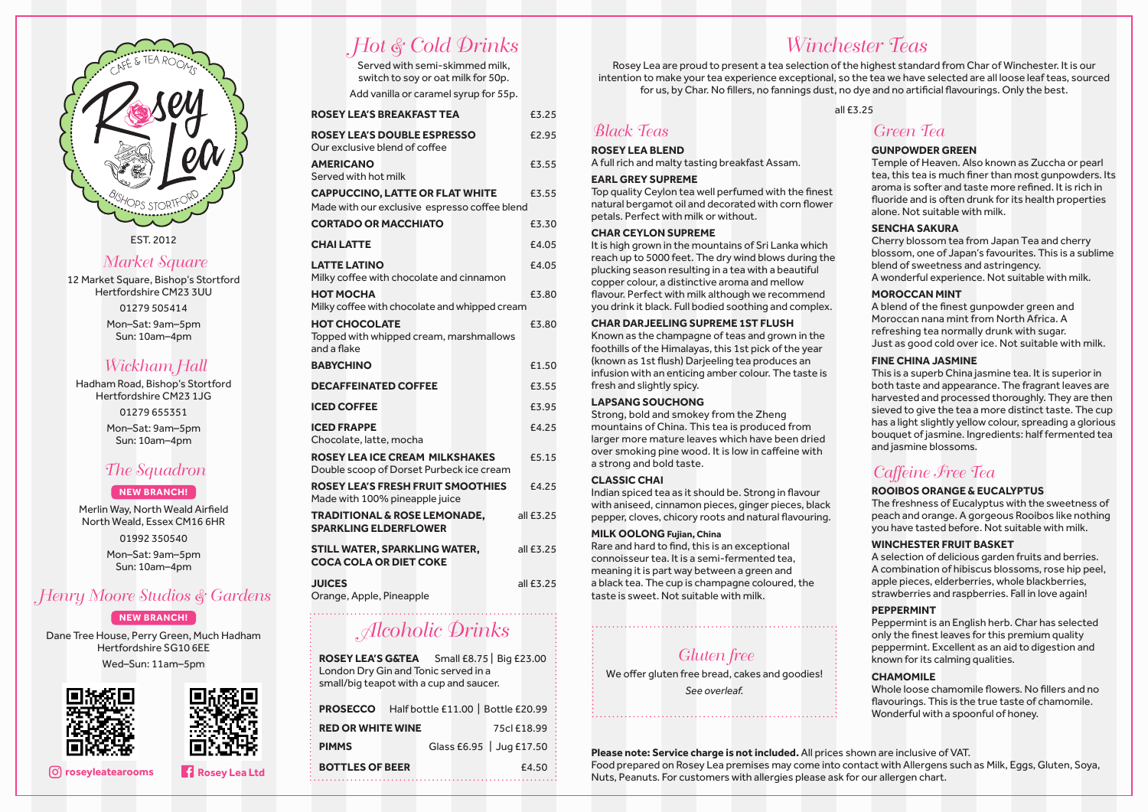

Market Square

12 Market Square, Bishop's Stortford Hertfordshire CM23 3UU

01279 505414

Mon–Sat: 9am–5pm Sun: 10am–4pm

## Wickham Hall

Hadham Road, Bishop's Stortford Hertfordshire CM23 1JG

01279 655351

Mon–Sat: 9am–5pm Sun: 10am–4pm

#### The Squadron

#### **NEW BRANCH!**

Merlin Way, North Weald Airfield North Weald, Essex CM16 6HR 01992 350540

> Mon–Sat: 9am–5pm Sun: 10am–4pm

## **Henry Moore Studios & Gardens**



Dane Tree House, Perry Green, Much Hadham Hertfordshire SG10 6EE





## Hot & Cold Drinks

Served with semi-skimmed milk, switch to soy or oat milk for 50p. Add vanilla or caramel syrup for 55p.

**ROSEY LEA'S BREAKFAST TEA**  $f3.25$ **ROSEY LEA'S DOUBLE ESPRESSO**  $£2.95$ Our exclusive blend of coffee **AMERICANO** £3.55 Served with hot milk **CAPPUCCINO, LATTE OR FLAT WHITE**  $£3.55$ Made with our exclusive espresso coffee blend **CORTADO OR MACCHIATO E3.30 CHAI LATTE** £4.05 **LATTE LATINO** £4.05 Milky coffee with chocolate and cinnamon **HOT MOCHA** £3.80 Milky coffee with chocolate and whipped cream **HOT CHOCOLATE**  $f3.80$ Topped with whipped cream, marshmallows and a flake **BABYCHINO**  $£1.50$ **DECAFFEINATED COFFEE** £3.55 **ICED COFFEE E3.95 ICED FRAPPE**  $\epsilon$ 4.25 Chocolate, latte, mocha **ROSEY LEA ICE CREAM MILKSHAKES £5.15** Double scoop of Dorset Purbeck ice cream **ROSEY LEA'S FRESH FRUIT SMOOTHIES**  $f4.25$ Made with 100% pineapple juice **TRADITIONAL & ROSE LEMONADE,** all £3.25 **SPARKLING ELDERFLOWER STILL WATER, SPARKLING WATER, all £3.25 COCA COLA OR DIET COKE JUICES** all £3.25 Orange, Apple, Pineapple

## Alcoholic Drinks

ertionus; in e Solio ULL<br>Wed–Sun: 11am–5pm Gluten free and the City of Traisection of Traisection of Gluten free London Dry Gin and Tonic served in a small/big teapot with a cup and saucer. **PROSECCO** Half bottle £11.00 | Bottle £20.99 **RED OR WHITE WINE** 75cl £18.99 **PIMMS** Glass £6.95 | Jug £17.50 **BOTTLES OF BEER** 

## Winchester Teas

Rosey Lea are proud to present a tea selection of the highest standard from Char of Winchester. It is our intention to make your tea experience exceptional, so the tea we have selected are all loose leaf teas, sourced for us, by Char. No fillers, no fannings dust, no dye and no artificial flavourings. Only the best.

all £3.25

## Black Teas

#### **ROSEY LEA BLEND**

A full rich and malty tasting breakfast Assam.

#### **EARL GREY SUPREME**

Top quality Ceylon tea well perfumed with the finest natural bergamot oil and decorated with corn flower petals. Perfect with milk or without.

#### **CHAR CEYLON SUPREME**

It is high grown in the mountains of Sri Lanka which reach up to 5000 feet. The dry wind blows during the plucking season resulting in a tea with a beautiful copper colour, a distinctive aroma and mellow flavour. Perfect with milk although we recommend you drink it black. Full bodied soothing and complex.

#### **CHAR DARJEELING SUPREME 1ST FLUSH**

Known as the champagne of teas and grown in the foothills of the Himalayas, this 1st pick of the year (known as 1st flush) Darjeeling tea produces an infusion with an enticing amber colour. The taste is fresh and slightly spicy.

#### **LAPSANG SOUCHONG**

Strong, bold and smokey from the Zheng mountains of China. This tea is produced from larger more mature leaves which have been dried over smoking pine wood. It is low in caffeine with a strong and bold taste.

#### **CLASSIC CHAI**

Indian spiced tea as it should be. Strong in flavour with aniseed, cinnamon pieces, ginger pieces, black pepper, cloves, chicory roots and natural flavouring.

#### **MILK OOLONG Fujian, China**

Rare and hard to find, this is an exceptional connoisseur tea. It is a semi-fermented tea, meaning it is part way between a green and a black tea. The cup is champagne coloured, the taste is sweet. Not suitable with milk.

We offer gluten free bread, cakes and goodies! *See overleaf.*

## Green Tea

#### **GUNPOWDER GREEN**

Temple of Heaven. Also known as Zuccha or pearl tea, this tea is much finer than most gunpowders. Its aroma is softer and taste more refined. It is rich in fluoride and is often drunk for its health properties alone. Not suitable with milk.

#### **SENCHA SAKURA**

Cherry blossom tea from Japan Tea and cherry blossom, one of Japan's favourites. This is a sublime blend of sweetness and astringency. A wonderful experience. Not suitable with milk.

#### **MOROCCAN MINT**

A blend of the finest gunpowder green and Moroccan nana mint from North Africa. A refreshing tea normally drunk with sugar. Just as good cold over ice. Not suitable with milk.

#### **FINE CHINA JASMINE**

This is a superb China jasmine tea. It is superior in both taste and appearance. The fragrant leaves are harvested and processed thoroughly. They are then sieved to give the tea a more distinct taste. The cup has a light slightly yellow colour, spreading a glorious bouquet of jasmine. Ingredients: half fermented tea and jasmine blossoms.

## Caffeine Free Tea

#### **ROOIBOS ORANGE & EUCALYPTUS**

The freshness of Eucalyptus with the sweetness of peach and orange. A gorgeous Rooibos like nothing you have tasted before. Not suitable with milk.

#### **WINCHESTER FRUIT BASKET**

A selection of delicious garden fruits and berries. A combination of hibiscus blossoms, rose hip peel, apple pieces, elderberries, whole blackberries, strawberries and raspberries. Fall in love again!

#### **PEPPERMINT**

Peppermint is an English herb. Char has selected only the finest leaves for this premium quality peppermint. Excellent as an aid to digestion and known for its calming qualities.

#### **CHAMOMILE**

Whole loose chamomile flowers. No fillers and no flavourings. This is the true taste of chamomile. Wonderful with a spoonful of honey.

**Please note: Service charge is not included.** All prices shown are inclusive of VAT. Food prepared on Rosey Lea premises may come into contact with Allergens such as Milk, Eggs, Gluten, Soya, Nuts, Peanuts. For customers with allergies please ask for our allergens of **POTTLES OF BEER**<br>Muts, Peanuts. For customers with allergies please ask for our allergen chart.